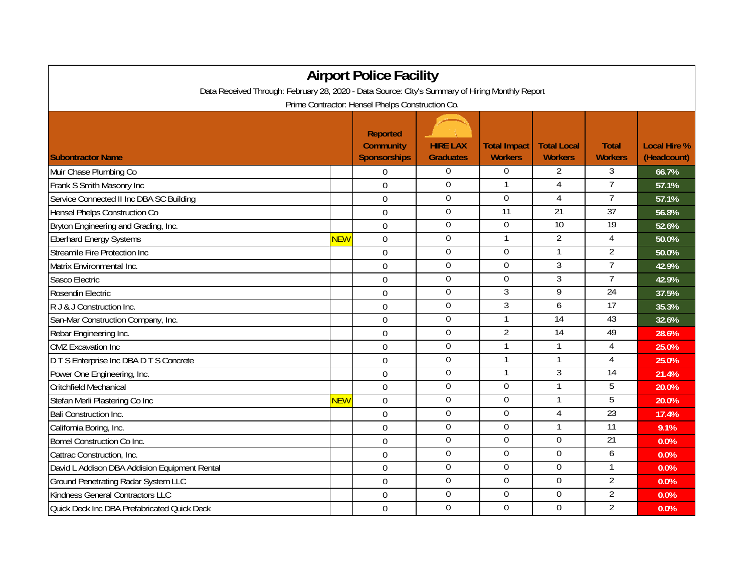| <b>Airport Police Facility</b>                                                                  |            |                                                            |                                     |                                       |                                      |                                |                                    |  |  |  |  |  |
|-------------------------------------------------------------------------------------------------|------------|------------------------------------------------------------|-------------------------------------|---------------------------------------|--------------------------------------|--------------------------------|------------------------------------|--|--|--|--|--|
| Data Received Through: February 28, 2020 - Data Source: City's Summary of Hiring Monthly Report |            |                                                            |                                     |                                       |                                      |                                |                                    |  |  |  |  |  |
|                                                                                                 |            | Prime Contractor: Hensel Phelps Construction Co.           |                                     |                                       |                                      |                                |                                    |  |  |  |  |  |
| <b>Subontractor Name</b>                                                                        |            | <b>Reported</b><br><b>Community</b><br><b>Sponsorships</b> | <b>HIRE LAX</b><br><b>Graduates</b> | <b>Total Impact</b><br><b>Workers</b> | <b>Total Local</b><br><b>Workers</b> | <b>Total</b><br><b>Workers</b> | <b>Local Hire %</b><br>(Headcount) |  |  |  |  |  |
| Muir Chase Plumbing Co                                                                          |            | $\Omega$                                                   | $\overline{0}$                      | 0                                     | 2                                    | 3                              | 66.7%                              |  |  |  |  |  |
| Frank S Smith Masonry Inc                                                                       |            | $\overline{0}$                                             | $\mathbf 0$                         | $\mathbf{1}$                          | 4                                    | $\overline{7}$                 | 57.1%                              |  |  |  |  |  |
| Service Connected II Inc DBA SC Building                                                        |            | $\mathbf 0$                                                | $\boldsymbol{0}$                    | $\overline{0}$                        | 4                                    | $\overline{7}$                 | 57.1%                              |  |  |  |  |  |
| Hensel Phelps Construction Co                                                                   |            | $\mathbf 0$                                                | $\boldsymbol{0}$                    | 11                                    | 21                                   | 37                             | 56.8%                              |  |  |  |  |  |
| Bryton Engineering and Grading, Inc.                                                            |            | $\overline{0}$                                             | $\overline{0}$                      | $\overline{0}$                        | 10                                   | 19                             | 52.6%                              |  |  |  |  |  |
| <b>Eberhard Energy Systems</b>                                                                  | <b>NEW</b> | 0                                                          | $\boldsymbol{0}$                    | $\mathbf{1}$                          | $\overline{2}$                       | 4                              | 50.0%                              |  |  |  |  |  |
| <b>Streamile Fire Protection Inc</b>                                                            |            | $\Omega$                                                   | $\boldsymbol{0}$                    | $\overline{0}$                        |                                      | $\overline{2}$                 | 50.0%                              |  |  |  |  |  |
| Matrix Environmental Inc.                                                                       |            | $\overline{0}$                                             | $\boldsymbol{0}$                    | $\Omega$                              | 3                                    | $\overline{7}$                 | 42.9%                              |  |  |  |  |  |
| Sasco Electric                                                                                  |            | $\overline{0}$                                             | $\boldsymbol{0}$                    | $\Omega$                              | 3                                    | $\overline{7}$                 | 42.9%                              |  |  |  |  |  |
| Rosendin Electric                                                                               |            | $\overline{0}$                                             | $\mathbf 0$                         | $\overline{3}$                        | 9                                    | 24                             | 37.5%                              |  |  |  |  |  |
| R J & J Construction Inc.                                                                       |            | $\mathbf 0$                                                | $\boldsymbol{0}$                    | 3                                     | 6                                    | $\overline{17}$                | 35.3%                              |  |  |  |  |  |
| San-Mar Construction Company, Inc.                                                              |            | $\overline{0}$                                             | $\overline{0}$                      | $\mathbf{1}$                          | 14                                   | 43                             | 32.6%                              |  |  |  |  |  |
| Rebar Engineering Inc.                                                                          |            | $\mathbf 0$                                                | $\boldsymbol{0}$                    | $\overline{2}$                        | 14                                   | 49                             | 28.6%                              |  |  |  |  |  |
| <b>CMZ</b> Excavation Inc                                                                       |            | $\overline{0}$                                             | $\boldsymbol{0}$                    | $\mathbf{1}$                          | $\mathbf{1}$                         | $\overline{4}$                 | 25.0%                              |  |  |  |  |  |
| D T S Enterprise Inc DBA D T S Concrete                                                         |            | $\overline{0}$                                             | $\boldsymbol{0}$                    | 1                                     | $\mathbf{1}$                         | 4                              | 25.0%                              |  |  |  |  |  |
| Power One Engineering, Inc.                                                                     |            | $\overline{0}$                                             | $\overline{0}$                      |                                       | 3                                    | 14                             | 21.4%                              |  |  |  |  |  |
| <b>Critchfield Mechanical</b>                                                                   |            | $\overline{0}$                                             | $\boldsymbol{0}$                    | $\Omega$                              | 1                                    | 5                              | 20.0%                              |  |  |  |  |  |
| Stefan Merli Plastering Co Inc                                                                  | <b>NEW</b> | $\mathbf 0$                                                | $\mathbf 0$                         | $\overline{0}$                        | $\overline{1}$                       | 5                              | 20.0%                              |  |  |  |  |  |
| <b>Bali Construction Inc.</b>                                                                   |            | 0                                                          | $\mathbf 0$                         | $\Omega$                              | 4                                    | 23                             | 17.4%                              |  |  |  |  |  |
| California Boring, Inc.                                                                         |            | 0                                                          | $\boldsymbol{0}$                    | 0                                     |                                      | 11                             | 9.1%                               |  |  |  |  |  |
| <b>Bomel Construction Co Inc.</b>                                                               |            | $\mathbf 0$                                                | $\boldsymbol{0}$                    | 0                                     | $\boldsymbol{0}$                     | $\overline{21}$                | 0.0%                               |  |  |  |  |  |
| Cattrac Construction, Inc.                                                                      |            | $\overline{0}$                                             | $\boldsymbol{0}$                    | $\mathbf 0$                           | $\mathbf 0$                          | 6                              | 0.0%                               |  |  |  |  |  |
| David L Addison DBA Addision Equipment Rental                                                   |            | $\overline{0}$                                             | $\overline{0}$                      | $\overline{0}$                        | $\overline{0}$                       | 1                              | 0.0%                               |  |  |  |  |  |
| <b>Ground Penetrating Radar System LLC</b>                                                      |            | $\overline{0}$                                             | $\overline{0}$                      | $\overline{0}$                        | $\mathbf 0$                          | $\overline{2}$                 | 0.0%                               |  |  |  |  |  |
| Kindness General Contractors LLC                                                                |            | $\mathbf 0$                                                | $\overline{0}$                      | $\overline{0}$                        | $\mathbf 0$                          | $\overline{2}$                 | 0.0%                               |  |  |  |  |  |
| Quick Deck Inc DBA Prefabricated Quick Deck                                                     |            | $\overline{0}$                                             | $\Omega$                            | $\Omega$                              | $\Omega$                             | $\overline{2}$                 | 0.0%                               |  |  |  |  |  |